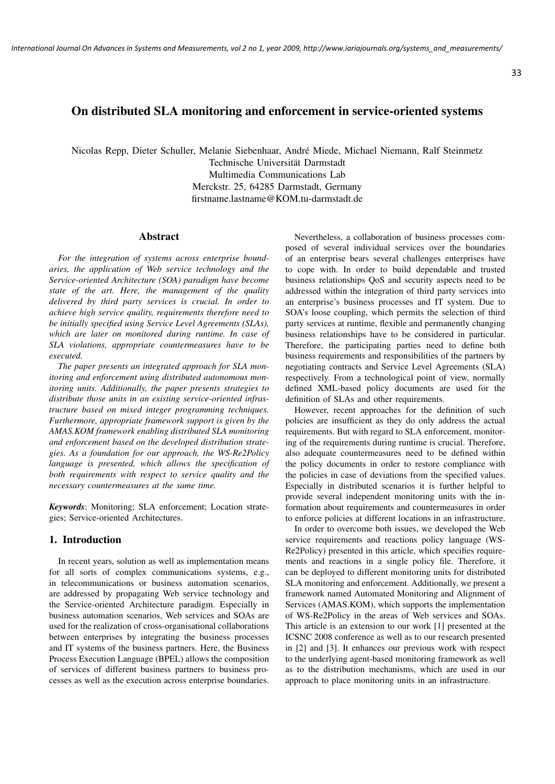# On distributed SLA monitoring and enforcement in service-oriented systems

Nicolas Repp, Dieter Schuller, Melanie Siebenhaar, Andre Miede, Michael Niemann, Ralf Steinmetz ´

Technische Universität Darmstadt Multimedia Communications Lab Merckstr. 25, 64285 Darmstadt, Germany firstname.lastname@KOM.tu-darmstadt.de

## Abstract

*For the integration of systems across enterprise boundaries, the application of Web service technology and the Service-oriented Architecture (SOA) paradigm have become state of the art. Here, the management of the quality delivered by third party services is crucial. In order to achieve high service quality, requirements therefore need to be initially specified using Service Level Agreements (SLAs), which are later on monitored during runtime. In case of SLA violations, appropriate countermeasures have to be executed.*

*The paper presents an integrated approach for SLA monitoring and enforcement using distributed autonomous monitoring units. Additionally, the paper presents strategies to distribute those units in an existing service-oriented infrastructure based on mixed integer programming techniques. Furthermore, appropriate framework support is given by the AMAS.KOM framework enabling distributed SLA monitoring and enforcement based on the developed distribution strategies. As a foundation for our approach, the WS-Re2Policy language is presented, which allows the specification of both requirements with respect to service quality and the necessary countermeasures at the same time.*

*Keywords*: Monitoring; SLA enforcement; Location strategies; Service-oriented Architectures.

## 1. Introduction

In recent years, solution as well as implementation means for all sorts of complex communications systems, e.g., in telecommunications or business automation scenarios, are addressed by propagating Web service technology and the Service-oriented Architecture paradigm. Especially in business automation scenarios, Web services and SOAs are used for the realization of cross-organisational collaborations between enterprises by integrating the business processes and IT systems of the business partners. Here, the Business Process Execution Language (BPEL) allows the composition of services of different business partners to business processes as well as the execution across enterprise boundaries.

Nevertheless, a collaboration of business processes composed of several individual services over the boundaries of an enterprise bears several challenges enterprises have to cope with. In order to build dependable and trusted business relationships QoS and security aspects need to be addressed within the integration of third party services into an enterprise's business processes and IT system. Due to SOA's loose coupling, which permits the selection of third party services at runtime, flexible and permanently changing business relationships have to be considered in particular. Therefore, the participating parties need to define both business requirements and responsibilities of the partners by negotiating contracts and Service Level Agreements (SLA) respectively. From a technological point of view, normally defined XML-based policy documents are used for the definition of SLAs and other requirements.

However, recent approaches for the definition of such policies are insufficient as they do only address the actual requirements. But with regard to SLA enforcement, monitoring of the requirements during runtime is crucial. Therefore, also adequate countermeasures need to be defined within the policy documents in order to restore compliance with the policies in case of deviations from the specified values. Especially in distributed scenarios it is further helpful to provide several independent monitoring units with the information about requirements and countermeasures in order to enforce policies at different locations in an infrastructure.

In order to overcome both issues, we developed the Web service requirements and reactions policy language (WS-Re2Policy) presented in this article, which specifies requirements and reactions in a single policy file. Therefore, it can be deployed to different monitoring units for distributed SLA monitoring and enforcement. Additionally, we present a framework named Automated Monitoring and Alignment of Services (AMAS.KOM), which supports the implementation of WS-Re2Policy in the areas of Web services and SOAs. This article is an extension to our work [1] presented at the ICSNC 2008 conference as well as to our research presented in [2] and [3]. It enhances our previous work with respect to the underlying agent-based monitoring framework as well as to the distribution mechanisms, which are used in our approach to place monitoring units in an infrastructure.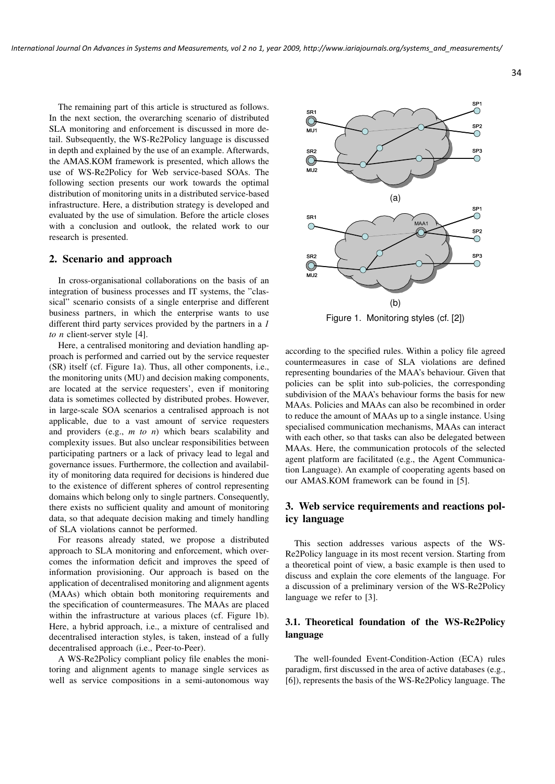The remaining part of this article is structured as follows. In the next section, the overarching scenario of distributed SLA monitoring and enforcement is discussed in more detail. Subsequently, the WS-Re2Policy language is discussed in depth and explained by the use of an example. Afterwards, the AMAS.KOM framework is presented, which allows the use of WS-Re2Policy for Web service-based SOAs. The following section presents our work towards the optimal distribution of monitoring units in a distributed service-based infrastructure. Here, a distribution strategy is developed and evaluated by the use of simulation. Before the article closes with a conclusion and outlook, the related work to our research is presented.

## 2. Scenario and approach

In cross-organisational collaborations on the basis of an integration of business processes and IT systems, the "classical" scenario consists of a single enterprise and different business partners, in which the enterprise wants to use different third party services provided by the partners in a *1 to n* client-server style [4].

Here, a centralised monitoring and deviation handling approach is performed and carried out by the service requester (SR) itself (cf. Figure 1a). Thus, all other components, i.e., the monitoring units (MU) and decision making components, are located at the service requesters', even if monitoring data is sometimes collected by distributed probes. However, in large-scale SOA scenarios a centralised approach is not applicable, due to a vast amount of service requesters and providers (e.g., *m to n*) which bears scalability and complexity issues. But also unclear responsibilities between participating partners or a lack of privacy lead to legal and governance issues. Furthermore, the collection and availability of monitoring data required for decisions is hindered due to the existence of different spheres of control representing domains which belong only to single partners. Consequently, there exists no sufficient quality and amount of monitoring data, so that adequate decision making and timely handling of SLA violations cannot be performed.

For reasons already stated, we propose a distributed approach to SLA monitoring and enforcement, which overcomes the information deficit and improves the speed of information provisioning. Our approach is based on the application of decentralised monitoring and alignment agents (MAAs) which obtain both monitoring requirements and the specification of countermeasures. The MAAs are placed within the infrastructure at various places (cf. Figure 1b). Here, a hybrid approach, i.e., a mixture of centralised and decentralised interaction styles, is taken, instead of a fully decentralised approach (i.e., Peer-to-Peer).

A WS-Re2Policy compliant policy file enables the monitoring and alignment agents to manage single services as well as service compositions in a semi-autonomous way



Figure 1. Monitoring styles (cf. [2])

according to the specified rules. Within a policy file agreed countermeasures in case of SLA violations are defined representing boundaries of the MAA's behaviour. Given that policies can be split into sub-policies, the corresponding subdivision of the MAA's behaviour forms the basis for new MAAs. Policies and MAAs can also be recombined in order to reduce the amount of MAAs up to a single instance. Using specialised communication mechanisms, MAAs can interact with each other, so that tasks can also be delegated between MAAs. Here, the communication protocols of the selected agent platform are facilitated (e.g., the Agent Communication Language). An example of cooperating agents based on our AMAS.KOM framework can be found in [5].

# 3. Web service requirements and reactions policy language

This section addresses various aspects of the WS-Re2Policy language in its most recent version. Starting from a theoretical point of view, a basic example is then used to discuss and explain the core elements of the language. For a discussion of a preliminary version of the WS-Re2Policy language we refer to [3].

## 3.1. Theoretical foundation of the WS-Re2Policy language

The well-founded Event-Condition-Action (ECA) rules paradigm, first discussed in the area of active databases (e.g., [6]), represents the basis of the WS-Re2Policy language. The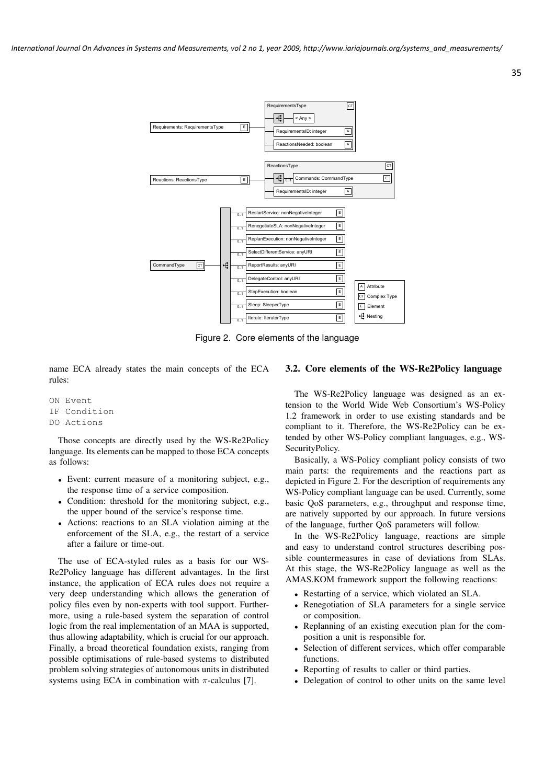

Figure 2. Core elements of the language

name ECA already states the main concepts of the ECA rules:

ON Event IF Condition DO Actions

Those concepts are directly used by the WS-Re2Policy language. Its elements can be mapped to those ECA concepts as follows:

- Event: current measure of a monitoring subject, e.g., the response time of a service composition.
- Condition: threshold for the monitoring subject, e.g., the upper bound of the service's response time.
- Actions: reactions to an SLA violation aiming at the enforcement of the SLA, e.g., the restart of a service after a failure or time-out.

The use of ECA-styled rules as a basis for our WS-Re2Policy language has different advantages. In the first instance, the application of ECA rules does not require a very deep understanding which allows the generation of policy files even by non-experts with tool support. Furthermore, using a rule-based system the separation of control logic from the real implementation of an MAA is supported, thus allowing adaptability, which is crucial for our approach. Finally, a broad theoretical foundation exists, ranging from possible optimisations of rule-based systems to distributed problem solving strategies of autonomous units in distributed systems using ECA in combination with  $\pi$ -calculus [7].

#### 3.2. Core elements of the WS-Re2Policy language

35

The WS-Re2Policy language was designed as an extension to the World Wide Web Consortium's WS-Policy 1.2 framework in order to use existing standards and be compliant to it. Therefore, the WS-Re2Policy can be extended by other WS-Policy compliant languages, e.g., WS-SecurityPolicy.

Basically, a WS-Policy compliant policy consists of two main parts: the requirements and the reactions part as depicted in Figure 2. For the description of requirements any WS-Policy compliant language can be used. Currently, some basic QoS parameters, e.g., throughput and response time, are natively supported by our approach. In future versions of the language, further QoS parameters will follow.

In the WS-Re2Policy language, reactions are simple and easy to understand control structures describing possible countermeasures in case of deviations from SLAs. At this stage, the WS-Re2Policy language as well as the AMAS.KOM framework support the following reactions:

- Restarting of a service, which violated an SLA.
- Renegotiation of SLA parameters for a single service or composition.
- Replanning of an existing execution plan for the composition a unit is responsible for.
- Selection of different services, which offer comparable functions.
- Reporting of results to caller or third parties.
- Delegation of control to other units on the same level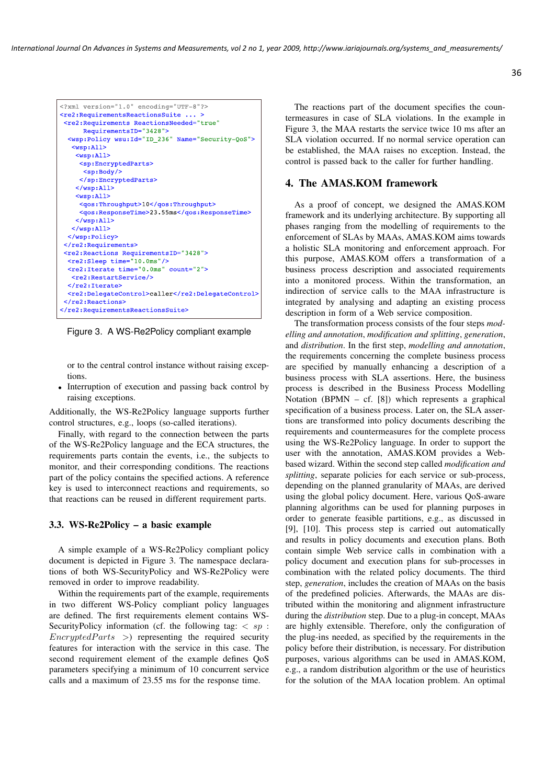```
<?xml version="1.0" encoding="UTF-8"?>
<re2:RequirementsReactionsSuite ...
<re2:Requirements ReactionsNeeded="true"
      RequirementsID="3428">
  <wsp:Policy wsu:Id="ID 236" Name="Security-QoS">
   <sub>wsp:Al</sub></sub>
    <sub>wsp:All></sub></sub>
     <sp:EncryptedParts>
      <sp:Body/>
     </sp:EncryptedParts>
    \langle/wsp:All>
    <sub>wsp:Al1</sub></sub>
     <qos:Throughput>10</qos:Throughput>
     <gos:ResponseTime>23.55ms</gos:ResponseTime>
    \langle/wsp:All>
   \langle/wsp:All>
  </wsp:Policy>
</re2:Requirements>
<re2:Reactions RequirementsID="3428">
  <re2:Sleep time="10.0ms"/>
  <re2:Iterate time="0.0ms" count="2">
   <re2:RestartService/>
  </re2:Iterate>
  <re?:DelegateControl>caller</re?:DelegateControl>
 \langle/re2:Reactions>
</re2:RequirementsReactionsSuite>
```
Figure 3. A WS-Re2Policy compliant example

or to the central control instance without raising exceptions.

• Interruption of execution and passing back control by raising exceptions.

Additionally, the WS-Re2Policy language supports further control structures, e.g., loops (so-called iterations).

Finally, with regard to the connection between the parts of the WS-Re2Policy language and the ECA structures, the requirements parts contain the events, i.e., the subjects to monitor, and their corresponding conditions. The reactions part of the policy contains the specified actions. A reference key is used to interconnect reactions and requirements, so that reactions can be reused in different requirement parts.

### 3.3. WS-Re2Policy – a basic example

A simple example of a WS-Re2Policy compliant policy document is depicted in Figure 3. The namespace declarations of both WS-SecurityPolicy and WS-Re2Policy were removed in order to improve readability.

Within the requirements part of the example, requirements in two different WS-Policy compliant policy languages are defined. The first requirements element contains WS-SecurityPolicy information (cf. the following tag:  $\langle sp : S \rangle$  $Encrupted Parts$  >) representing the required security features for interaction with the service in this case. The second requirement element of the example defines QoS parameters specifying a minimum of 10 concurrent service calls and a maximum of 23.55 ms for the response time.

The reactions part of the document specifies the countermeasures in case of SLA violations. In the example in Figure 3, the MAA restarts the service twice 10 ms after an SLA violation occurred. If no normal service operation can be established, the MAA raises no exception. Instead, the control is passed back to the caller for further handling.

#### 4. The AMAS.KOM framework

As a proof of concept, we designed the AMAS.KOM framework and its underlying architecture. By supporting all phases ranging from the modelling of requirements to the enforcement of SLAs by MAAs, AMAS.KOM aims towards a holistic SLA monitoring and enforcement approach. For this purpose, AMAS.KOM offers a transformation of a business process description and associated requirements into a monitored process. Within the transformation, an indirection of service calls to the MAA infrastructure is integrated by analysing and adapting an existing process description in form of a Web service composition.

The transformation process consists of the four steps *modelling and annotation*, *modification and splitting*, *generation*, and *distribution*. In the first step, *modelling and annotation*, the requirements concerning the complete business process are specified by manually enhancing a description of a business process with SLA assertions. Here, the business process is described in the Business Process Modelling Notation (BPMN – cf.  $[8]$ ) which represents a graphical specification of a business process. Later on, the SLA assertions are transformed into policy documents describing the requirements and countermeasures for the complete process using the WS-Re2Policy language. In order to support the user with the annotation, AMAS.KOM provides a Webbased wizard. Within the second step called *modification and splitting*, separate policies for each service or sub-process, depending on the planned granularity of MAAs, are derived using the global policy document. Here, various QoS-aware planning algorithms can be used for planning purposes in order to generate feasible partitions, e.g., as discussed in [9], [10]. This process step is carried out automatically and results in policy documents and execution plans. Both contain simple Web service calls in combination with a policy document and execution plans for sub-processes in combination with the related policy documents. The third step, *generation*, includes the creation of MAAs on the basis of the predefined policies. Afterwards, the MAAs are distributed within the monitoring and alignment infrastructure during the *distribution* step. Due to a plug-in concept, MAAs are highly extensible. Therefore, only the configuration of the plug-ins needed, as specified by the requirements in the policy before their distribution, is necessary. For distribution purposes, various algorithms can be used in AMAS.KOM, e.g., a random distribution algorithm or the use of heuristics for the solution of the MAA location problem. An optimal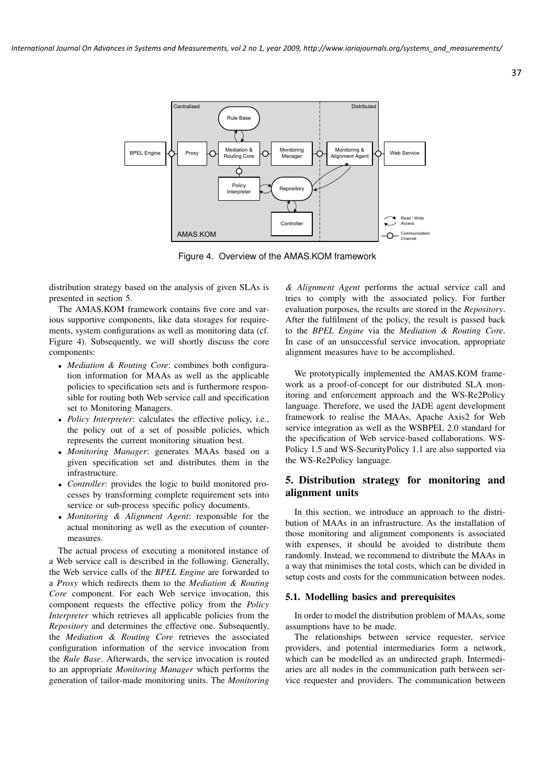

Figure 4. Overview of the AMAS.KOM framework

distribution strategy based on the analysis of given SLAs is presented in section 5.

The AMAS.KOM framework contains five core and various supportive components, like data storages for requirements, system configurations as well as monitoring data (cf. Figure 4). Subsequently, we will shortly discuss the core components:

- *Mediation & Routing Core*: combines both configuration information for MAAs as well as the applicable policies to specification sets and is furthermore responsible for routing both Web service call and specification set to Monitoring Managers.
- *Policy Interpreter*: calculates the effective policy, i.e., the policy out of a set of possible policies, which represents the current monitoring situation best.
- *Monitoring Manager*: generates MAAs based on a given specification set and distributes them in the infrastructure.
- *Controller*: provides the logic to build monitored processes by transforming complete requirement sets into service or sub-process specific policy documents.
- *Monitoring & Alignment Agent*: responsible for the actual monitoring as well as the execution of countermeasures.

The actual process of executing a monitored instance of a Web service call is described in the following. Generally, the Web service calls of the *BPEL Engine* are forwarded to a *Proxy* which redirects them to the *Mediation & Routing Core* component. For each Web service invocation, this component requests the effective policy from the *Policy Interpreter* which retrieves all applicable policies from the *Repository* and determines the effective one. Subsequently, the *Mediation & Routing Core* retrieves the associated configuration information of the service invocation from the *Rule Base*. Afterwards, the service invocation is routed to an appropriate *Monitoring Manager* which performs the generation of tailor-made monitoring units. The *Monitoring*

*& Alignment Agent* performs the actual service call and tries to comply with the associated policy. For further evaluation purposes, the results are stored in the *Repository*. After the fulfilment of the policy, the result is passed back to the *BPEL Engine* via the *Mediation & Routing Core*. In case of an unsuccessful service invocation, appropriate alignment measures have to be accomplished.

We prototypically implemented the AMAS.KOM framework as a proof-of-concept for our distributed SLA monitoring and enforcement approach and the WS-Re2Policy language. Therefore, we used the JADE agent development framework to realise the MAAs, Apache Axis2 for Web service integration as well as the WSBPEL 2.0 standard for the specification of Web service-based collaborations. WS-Policy 1.5 and WS-SecurityPolicy 1.1 are also supported via the WS-Re2Policy language.

# 5. Distribution strategy for monitoring and alignment units

In this section, we introduce an approach to the distribution of MAAs in an infrastructure. As the installation of those monitoring and alignment components is associated with expenses, it should be avoided to distribute them randomly. Instead, we recommend to distribute the MAAs in a way that minimises the total costs, which can be divided in setup costs and costs for the communication between nodes.

## 5.1. Modelling basics and prerequisites

In order to model the distribution problem of MAAs, some assumptions have to be made.

The relationships between service requester, service providers, and potential intermediaries form a network, which can be modelled as an undirected graph. Intermediaries are all nodes in the communication path between service requester and providers. The communication between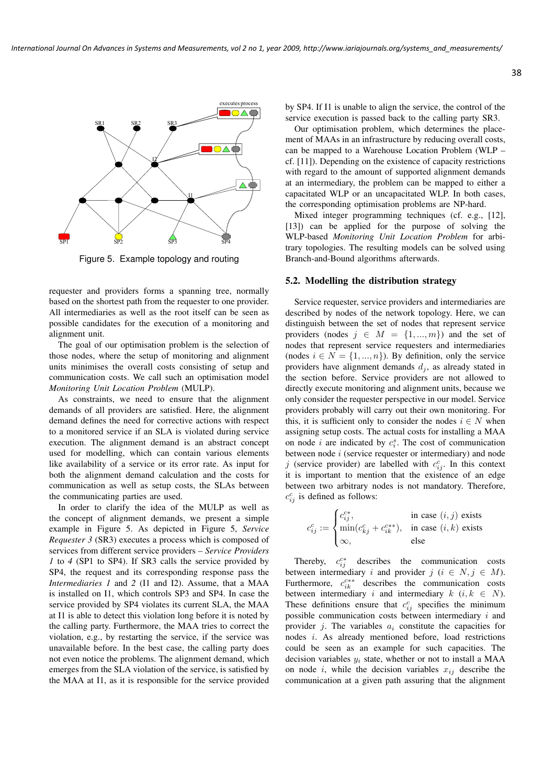

Figure 5. Example topology and routing

requester and providers forms a spanning tree, normally based on the shortest path from the requester to one provider. All intermediaries as well as the root itself can be seen as possible candidates for the execution of a monitoring and alignment unit.

The goal of our optimisation problem is the selection of those nodes, where the setup of monitoring and alignment units minimises the overall costs consisting of setup and communication costs. We call such an optimisation model *Monitoring Unit Location Problem* (MULP).

As constraints, we need to ensure that the alignment demands of all providers are satisfied. Here, the alignment demand defines the need for corrective actions with respect to a monitored service if an SLA is violated during service execution. The alignment demand is an abstract concept used for modelling, which can contain various elements like availability of a service or its error rate. As input for both the alignment demand calculation and the costs for communication as well as setup costs, the SLAs between the communicating parties are used.

In order to clarify the idea of the MULP as well as the concept of alignment demands, we present a simple example in Figure 5. As depicted in Figure 5, *Service Requester 3* (SR3) executes a process which is composed of services from different service providers – *Service Providers 1* to *4* (SP1 to SP4). If SR3 calls the service provided by SP4, the request and its corresponding response pass the *Intermediaries 1* and *2* (I1 and I2). Assume, that a MAA is installed on I1, which controls SP3 and SP4. In case the service provided by SP4 violates its current SLA, the MAA at I1 is able to detect this violation long before it is noted by the calling party. Furthermore, the MAA tries to correct the violation, e.g., by restarting the service, if the service was unavailable before. In the best case, the calling party does not even notice the problems. The alignment demand, which emerges from the SLA violation of the service, is satisfied by the MAA at I1, as it is responsible for the service provided

by SP4. If I1 is unable to align the service, the control of the service execution is passed back to the calling party SR3.

Our optimisation problem, which determines the placement of MAAs in an infrastructure by reducing overall costs, can be mapped to a Warehouse Location Problem (WLP – cf. [11]). Depending on the existence of capacity restrictions with regard to the amount of supported alignment demands at an intermediary, the problem can be mapped to either a capacitated WLP or an uncapacitated WLP. In both cases, the corresponding optimisation problems are NP-hard.

Mixed integer programming techniques (cf. e.g., [12], [13]) can be applied for the purpose of solving the WLP-based *Monitoring Unit Location Problem* for arbitrary topologies. The resulting models can be solved using Branch-and-Bound algorithms afterwards.

# 5.2. Modelling the distribution strategy

Service requester, service providers and intermediaries are described by nodes of the network topology. Here, we can distinguish between the set of nodes that represent service providers (nodes  $j \in M = \{1, ..., m\}$ ) and the set of nodes that represent service requesters and intermediaries (nodes  $i \in N = \{1, ..., n\}$ ). By definition, only the service providers have alignment demands  $d_i$ , as already stated in the section before. Service providers are not allowed to directly execute monitoring and alignment units, because we only consider the requester perspective in our model. Service providers probably will carry out their own monitoring. For this, it is sufficient only to consider the nodes  $i \in N$  when assigning setup costs. The actual costs for installing a MAA on node i are indicated by  $c_i^s$ . The cost of communication between node i (service requester or intermediary) and node j (service provider) are labelled with  $c_{ij}^c$ . In this context it is important to mention that the existence of an edge between two arbitrary nodes is not mandatory. Therefore,  $c_{ij}^c$  is defined as follows:

$$
c_{ij}^c := \begin{cases} c_{ij}^{c*}, & \text{in case } (i,j) \text{ exists} \\ \min(c_{kj}^c + c_{ik}^{c**}), & \text{in case } (i,k) \text{ exists} \\ \infty, & \text{else} \end{cases}
$$

Thereby,  $c_{ij}^{c*}$  describes the communication costs between intermediary i and provider  $j$  ( $i \in N, j \in M$ ). Furthermore,  $c_{ik}^{c**}$  describes the communication costs between intermediary i and intermediary  $k$  (i,  $k \in N$ ). These definitions ensure that  $c_{ij}^c$  specifies the minimum possible communication costs between intermediary  $i$  and provider j. The variables  $a_i$  constitute the capacities for nodes i. As already mentioned before, load restrictions could be seen as an example for such capacities. The decision variables  $y_i$  state, whether or not to install a MAA on node i, while the decision variables  $x_{ij}$  describe the communication at a given path assuring that the alignment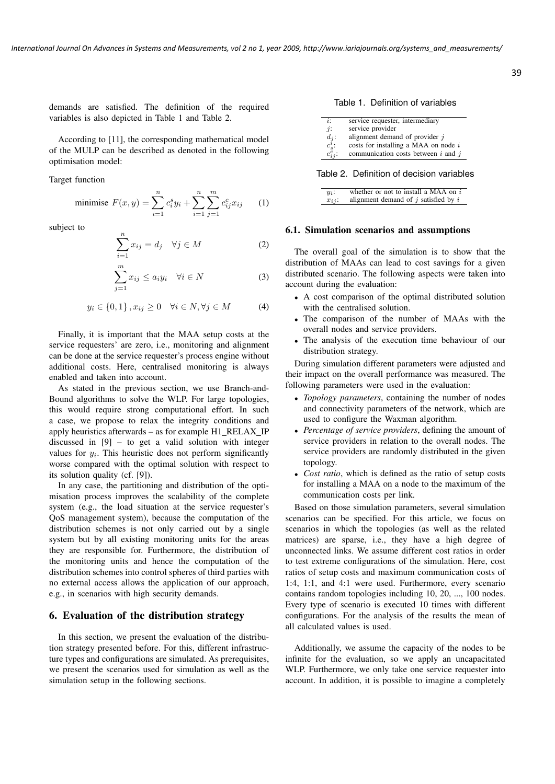demands are satisfied. The definition of the required variables is also depicted in Table 1 and Table 2.

According to [11], the corresponding mathematical model of the MULP can be described as denoted in the following optimisation model:

Target function

minimise 
$$
F(x, y) = \sum_{i=1}^{n} c_i^s y_i + \sum_{i=1}^{n} \sum_{j=1}^{m} c_{ij}^c x_{ij}
$$
 (1)

subject to

$$
\sum_{i=1}^{n} x_{ij} = d_j \quad \forall j \in M \tag{2}
$$

$$
\sum_{j=1}^{m} x_{ij} \le a_i y_i \quad \forall i \in N \tag{3}
$$

$$
y_i \in \{0, 1\}, x_{ij} \ge 0 \quad \forall i \in N, \forall j \in M \tag{4}
$$

Finally, it is important that the MAA setup costs at the service requesters' are zero, i.e., monitoring and alignment can be done at the service requester's process engine without additional costs. Here, centralised monitoring is always enabled and taken into account.

As stated in the previous section, we use Branch-and-Bound algorithms to solve the WLP. For large topologies, this would require strong computational effort. In such a case, we propose to relax the integrity conditions and apply heuristics afterwards – as for example H1 RELAX IP discussed in [9] – to get a valid solution with integer values for  $y_i$ . This heuristic does not perform significantly worse compared with the optimal solution with respect to its solution quality (cf. [9]).

In any case, the partitioning and distribution of the optimisation process improves the scalability of the complete system (e.g., the load situation at the service requester's QoS management system), because the computation of the distribution schemes is not only carried out by a single system but by all existing monitoring units for the areas they are responsible for. Furthermore, the distribution of the monitoring units and hence the computation of the distribution schemes into control spheres of third parties with no external access allows the application of our approach, e.g., in scenarios with high security demands.

## 6. Evaluation of the distribution strategy

In this section, we present the evaluation of the distribution strategy presented before. For this, different infrastructure types and configurations are simulated. As prerequisites, we present the scenarios used for simulation as well as the simulation setup in the following sections.

Table 1. Definition of variables

| $\ddot{i}$ :            | service requester, intermediary         |
|-------------------------|-----------------------------------------|
| $\dot{j}$ :             | service provider                        |
|                         | alignment demand of provider $j$        |
| $d_j\colon c_s^i\colon$ | costs for installing a MAA on node $i$  |
| $c_{ij}^{\bar{c}}$ :    | communication costs between $i$ and $j$ |

Table 2. Definition of decision variables

| $y_i$ :    | whether or not to install a MAA on $i$   |
|------------|------------------------------------------|
| $x_{ij}$ : | alignment demand of $j$ satisfied by $i$ |

#### 6.1. Simulation scenarios and assumptions

The overall goal of the simulation is to show that the distribution of MAAs can lead to cost savings for a given distributed scenario. The following aspects were taken into account during the evaluation:

- A cost comparison of the optimal distributed solution with the centralised solution.
- The comparison of the number of MAAs with the overall nodes and service providers.
- The analysis of the execution time behaviour of our distribution strategy.

During simulation different parameters were adjusted and their impact on the overall performance was measured. The following parameters were used in the evaluation:

- *Topology parameters*, containing the number of nodes and connectivity parameters of the network, which are used to configure the Waxman algorithm.
- *Percentage of service providers*, defining the amount of service providers in relation to the overall nodes. The service providers are randomly distributed in the given topology.
- *Cost ratio*, which is defined as the ratio of setup costs for installing a MAA on a node to the maximum of the communication costs per link.

Based on those simulation parameters, several simulation scenarios can be specified. For this article, we focus on scenarios in which the topologies (as well as the related matrices) are sparse, i.e., they have a high degree of unconnected links. We assume different cost ratios in order to test extreme configurations of the simulation. Here, cost ratios of setup costs and maximum communication costs of 1:4, 1:1, and 4:1 were used. Furthermore, every scenario contains random topologies including 10, 20, ..., 100 nodes. Every type of scenario is executed 10 times with different configurations. For the analysis of the results the mean of all calculated values is used.

Additionally, we assume the capacity of the nodes to be infinite for the evaluation, so we apply an uncapacitated WLP. Furthermore, we only take one service requester into account. In addition, it is possible to imagine a completely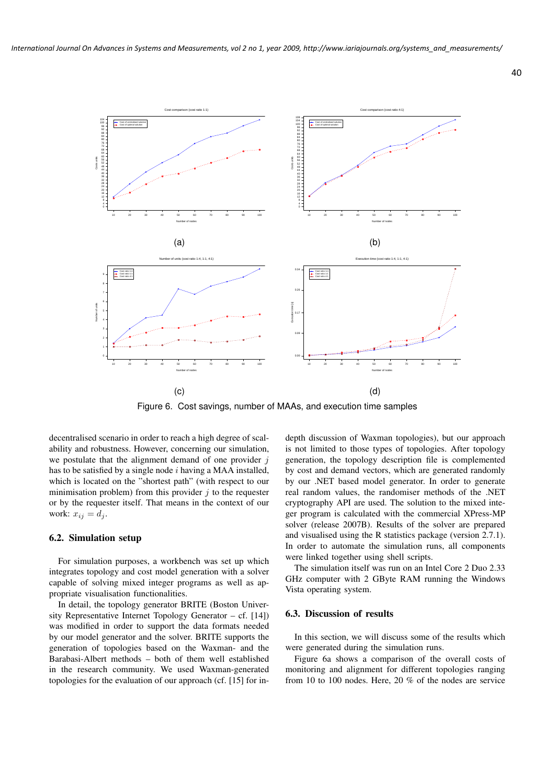

Figure 6. Cost savings, number of MAAs, and execution time samples

decentralised scenario in order to reach a high degree of scalability and robustness. However, concerning our simulation, we postulate that the alignment demand of one provider  $j$ has to be satisfied by a single node  $i$  having a MAA installed, which is located on the "shortest path" (with respect to our minimisation problem) from this provider  $j$  to the requester or by the requester itself. That means in the context of our work:  $x_{ij} = d_j$ .

## 6.2. Simulation setup

For simulation purposes, a workbench was set up which integrates topology and cost model generation with a solver capable of solving mixed integer programs as well as appropriate visualisation functionalities.

In detail, the topology generator BRITE (Boston University Representative Internet Topology Generator – cf. [14]) was modified in order to support the data formats needed by our model generator and the solver. BRITE supports the generation of topologies based on the Waxman- and the Barabasi-Albert methods – both of them well established in the research community. We used Waxman-generated topologies for the evaluation of our approach (cf. [15] for indepth discussion of Waxman topologies), but our approach is not limited to those types of topologies. After topology generation, the topology description file is complemented by cost and demand vectors, which are generated randomly by our .NET based model generator. In order to generate real random values, the randomiser methods of the .NET cryptography API are used. The solution to the mixed integer program is calculated with the commercial XPress-MP solver (release 2007B). Results of the solver are prepared and visualised using the R statistics package (version 2.7.1). In order to automate the simulation runs, all components were linked together using shell scripts.

The simulation itself was run on an Intel Core 2 Duo 2.33 GHz computer with 2 GByte RAM running the Windows Vista operating system.

#### 6.3. Discussion of results

In this section, we will discuss some of the results which were generated during the simulation runs.

Figure 6a shows a comparison of the overall costs of monitoring and alignment for different topologies ranging from 10 to 100 nodes. Here, 20 % of the nodes are service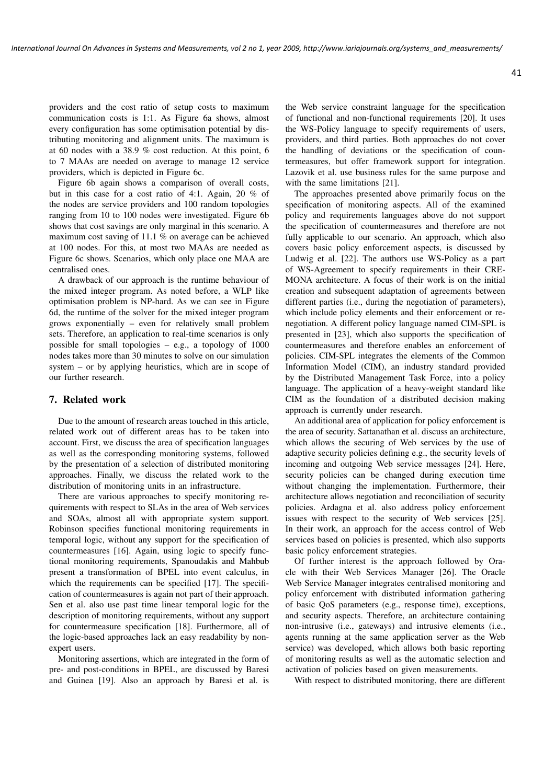providers and the cost ratio of setup costs to maximum communication costs is 1:1. As Figure 6a shows, almost every configuration has some optimisation potential by distributing monitoring and alignment units. The maximum is at 60 nodes with a 38.9 % cost reduction. At this point, 6 to 7 MAAs are needed on average to manage 12 service providers, which is depicted in Figure 6c.

Figure 6b again shows a comparison of overall costs, but in this case for a cost ratio of 4:1. Again, 20 % of the nodes are service providers and 100 random topologies ranging from 10 to 100 nodes were investigated. Figure 6b shows that cost savings are only marginal in this scenario. A maximum cost saving of 11.1 % on average can be achieved at 100 nodes. For this, at most two MAAs are needed as Figure 6c shows. Scenarios, which only place one MAA are centralised ones.

A drawback of our approach is the runtime behaviour of the mixed integer program. As noted before, a WLP like optimisation problem is NP-hard. As we can see in Figure 6d, the runtime of the solver for the mixed integer program grows exponentially – even for relatively small problem sets. Therefore, an application to real-time scenarios is only possible for small topologies – e.g., a topology of 1000 nodes takes more than 30 minutes to solve on our simulation system – or by applying heuristics, which are in scope of our further research.

#### 7. Related work

Due to the amount of research areas touched in this article, related work out of different areas has to be taken into account. First, we discuss the area of specification languages as well as the corresponding monitoring systems, followed by the presentation of a selection of distributed monitoring approaches. Finally, we discuss the related work to the distribution of monitoring units in an infrastructure.

There are various approaches to specify monitoring requirements with respect to SLAs in the area of Web services and SOAs, almost all with appropriate system support. Robinson specifies functional monitoring requirements in temporal logic, without any support for the specification of countermeasures [16]. Again, using logic to specify functional monitoring requirements, Spanoudakis and Mahbub present a transformation of BPEL into event calculus, in which the requirements can be specified [17]. The specification of countermeasures is again not part of their approach. Sen et al. also use past time linear temporal logic for the description of monitoring requirements, without any support for countermeasure specification [18]. Furthermore, all of the logic-based approaches lack an easy readability by nonexpert users.

Monitoring assertions, which are integrated in the form of pre- and post-conditions in BPEL, are discussed by Baresi and Guinea [19]. Also an approach by Baresi et al. is

the Web service constraint language for the specification of functional and non-functional requirements [20]. It uses the WS-Policy language to specify requirements of users, providers, and third parties. Both approaches do not cover the handling of deviations or the specification of countermeasures, but offer framework support for integration. Lazovik et al. use business rules for the same purpose and with the same limitations [21].

The approaches presented above primarily focus on the specification of monitoring aspects. All of the examined policy and requirements languages above do not support the specification of countermeasures and therefore are not fully applicable to our scenario. An approach, which also covers basic policy enforcement aspects, is discussed by Ludwig et al. [22]. The authors use WS-Policy as a part of WS-Agreement to specify requirements in their CRE-MONA architecture. A focus of their work is on the initial creation and subsequent adaptation of agreements between different parties (i.e., during the negotiation of parameters), which include policy elements and their enforcement or renegotiation. A different policy language named CIM-SPL is presented in [23], which also supports the specification of countermeasures and therefore enables an enforcement of policies. CIM-SPL integrates the elements of the Common Information Model (CIM), an industry standard provided by the Distributed Management Task Force, into a policy language. The application of a heavy-weight standard like CIM as the foundation of a distributed decision making approach is currently under research.

An additional area of application for policy enforcement is the area of security. Sattanathan et al. discuss an architecture, which allows the securing of Web services by the use of adaptive security policies defining e.g., the security levels of incoming and outgoing Web service messages [24]. Here, security policies can be changed during execution time without changing the implementation. Furthermore, their architecture allows negotiation and reconciliation of security policies. Ardagna et al. also address policy enforcement issues with respect to the security of Web services [25]. In their work, an approach for the access control of Web services based on policies is presented, which also supports basic policy enforcement strategies.

Of further interest is the approach followed by Oracle with their Web Services Manager [26]. The Oracle Web Service Manager integrates centralised monitoring and policy enforcement with distributed information gathering of basic QoS parameters (e.g., response time), exceptions, and security aspects. Therefore, an architecture containing non-intrusive (i.e., gateways) and intrusive elements (i.e., agents running at the same application server as the Web service) was developed, which allows both basic reporting of monitoring results as well as the automatic selection and activation of policies based on given measurements.

With respect to distributed monitoring, there are different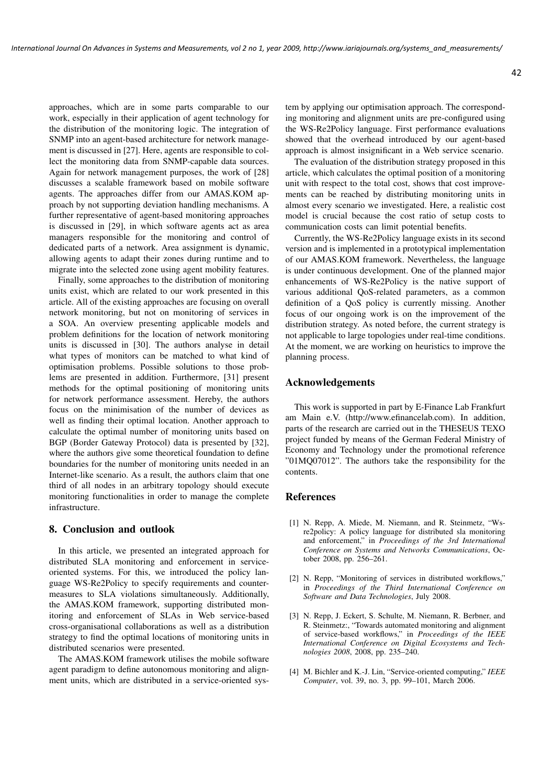approaches, which are in some parts comparable to our work, especially in their application of agent technology for the distribution of the monitoring logic. The integration of SNMP into an agent-based architecture for network management is discussed in [27]. Here, agents are responsible to collect the monitoring data from SNMP-capable data sources. Again for network management purposes, the work of [28] discusses a scalable framework based on mobile software agents. The approaches differ from our AMAS.KOM approach by not supporting deviation handling mechanisms. A further representative of agent-based monitoring approaches is discussed in [29], in which software agents act as area managers responsible for the monitoring and control of dedicated parts of a network. Area assignment is dynamic, allowing agents to adapt their zones during runtime and to migrate into the selected zone using agent mobility features.

Finally, some approaches to the distribution of monitoring units exist, which are related to our work presented in this article. All of the existing approaches are focusing on overall network monitoring, but not on monitoring of services in a SOA. An overview presenting applicable models and problem definitions for the location of network monitoring units is discussed in [30]. The authors analyse in detail what types of monitors can be matched to what kind of optimisation problems. Possible solutions to those problems are presented in addition. Furthermore, [31] present methods for the optimal positioning of monitoring units for network performance assessment. Hereby, the authors focus on the minimisation of the number of devices as well as finding their optimal location. Another approach to calculate the optimal number of monitoring units based on BGP (Border Gateway Protocol) data is presented by [32], where the authors give some theoretical foundation to define boundaries for the number of monitoring units needed in an Internet-like scenario. As a result, the authors claim that one third of all nodes in an arbitrary topology should execute monitoring functionalities in order to manage the complete infrastructure.

## 8. Conclusion and outlook

In this article, we presented an integrated approach for distributed SLA monitoring and enforcement in serviceoriented systems. For this, we introduced the policy language WS-Re2Policy to specify requirements and countermeasures to SLA violations simultaneously. Additionally, the AMAS.KOM framework, supporting distributed monitoring and enforcement of SLAs in Web service-based cross-organisational collaborations as well as a distribution strategy to find the optimal locations of monitoring units in distributed scenarios were presented.

The AMAS.KOM framework utilises the mobile software agent paradigm to define autonomous monitoring and alignment units, which are distributed in a service-oriented system by applying our optimisation approach. The corresponding monitoring and alignment units are pre-configured using the WS-Re2Policy language. First performance evaluations showed that the overhead introduced by our agent-based approach is almost insignificant in a Web service scenario.

The evaluation of the distribution strategy proposed in this article, which calculates the optimal position of a monitoring unit with respect to the total cost, shows that cost improvements can be reached by distributing monitoring units in almost every scenario we investigated. Here, a realistic cost model is crucial because the cost ratio of setup costs to communication costs can limit potential benefits.

Currently, the WS-Re2Policy language exists in its second version and is implemented in a prototypical implementation of our AMAS.KOM framework. Nevertheless, the language is under continuous development. One of the planned major enhancements of WS-Re2Policy is the native support of various additional QoS-related parameters, as a common definition of a QoS policy is currently missing. Another focus of our ongoing work is on the improvement of the distribution strategy. As noted before, the current strategy is not applicable to large topologies under real-time conditions. At the moment, we are working on heuristics to improve the planning process.

### Acknowledgements

This work is supported in part by E-Finance Lab Frankfurt am Main e.V. (http://www.efinancelab.com). In addition, parts of the research are carried out in the THESEUS TEXO project funded by means of the German Federal Ministry of Economy and Technology under the promotional reference "01MQ07012". The authors take the responsibility for the contents.

### References

- [1] N. Repp, A. Miede, M. Niemann, and R. Steinmetz, "Wsre2policy: A policy language for distributed sla monitoring and enforcement," in *Proceedings of the 3rd International Conference on Systems and Networks Communications*, October 2008, pp. 256–261.
- [2] N. Repp, "Monitoring of services in distributed workflows," in *Proceedings of the Third International Conference on Software and Data Technologies*, July 2008.
- [3] N. Repp, J. Eckert, S. Schulte, M. Niemann, R. Berbner, and R. Steinmetz:, "Towards automated monitoring and alignment of service-based workflows," in *Proceedings of the IEEE International Conference on Digital Ecosystems and Technologies 2008*, 2008, pp. 235–240.
- [4] M. Bichler and K.-J. Lin, "Service-oriented computing," *IEEE Computer*, vol. 39, no. 3, pp. 99–101, March 2006.